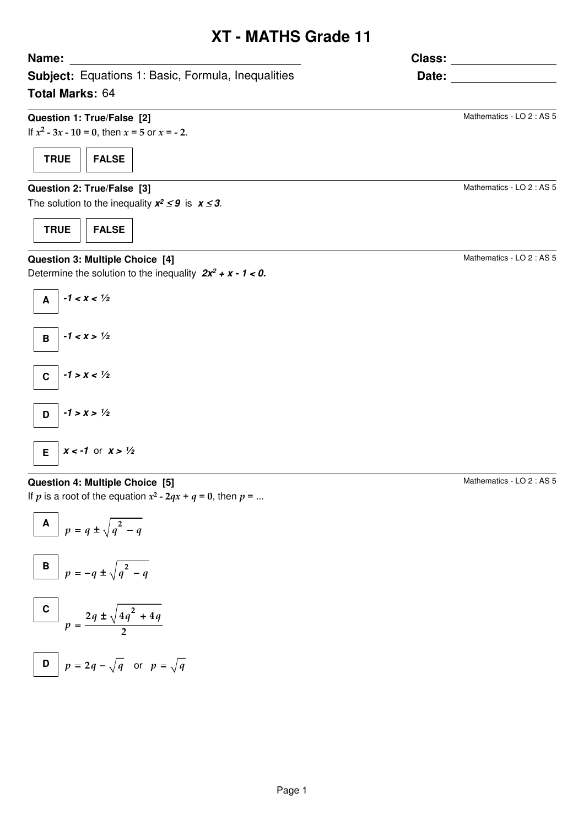# **XT - MATHS Grade 11**

**Class:**

**Date:**

**Subject:** Equations 1: Basic, Formula, Inequalities **Total Marks:** 64

## **Question 1: True/False [2]**

If  $x^2 - 3x - 10 = 0$ , then  $x = 5$  or  $x = -2$ .

**TRUE FALSE**

**Name:**

## **Question 2: True/False [3]**

The solution to the inequality  $x^2 \leq 9$  is  $x \leq 3$ .

**TRUE FALSE**

## **Question 3: Multiple Choice [4]**

Determine the solution to the inequality  $2x^2 + x - 1 < 0$ .



## **Question 4: Multiple Choice [5]**

If p is a root of the equation  $x^2$  -  $2qx + q = 0$ , then  $p = ...$ 

$$
\begin{array}{|c|c|}\n\hline\nA & p = q \pm \sqrt{q^2 - q} \\
\hline\n\end{array}
$$

B 
$$
p = -q \pm \sqrt{q^2 - q}
$$
  
\nC  $2q \pm \sqrt{4q^2 + 4q}$ 

=

$$
p = \frac{1}{2}
$$
  
D  $p = 2q - \sqrt{q}$  or  $p = \sqrt{q}$ 

$$
\mathcal{L}^{\mathcal{L}}(\mathcal{L}^{\mathcal{L}}(\mathcal{L}^{\mathcal{L}}(\mathcal{L}^{\mathcal{L}}(\mathcal{L}^{\mathcal{L}}(\mathcal{L}^{\mathcal{L}}(\mathcal{L}^{\mathcal{L}}(\mathcal{L}^{\mathcal{L}}(\mathcal{L}^{\mathcal{L}}(\mathcal{L}^{\mathcal{L}}(\mathcal{L}^{\mathcal{L}}(\mathcal{L}^{\mathcal{L}}(\mathcal{L}^{\mathcal{L}}(\mathcal{L}^{\mathcal{L}}(\mathcal{L}^{\mathcal{L}}(\mathcal{L}^{\mathcal{L}}(\mathcal{L}^{\mathcal{L}}(\mathcal{L}^{\mathcal{L}}(\mathcal{L}^{\mathcal{L}}(\mathcal{L}^{\mathcal{L}}(\mathcal{L}^{\mathcal{L}}(\mathcal{L}^{\mathcal{L}}(\mathcal{L}^{\mathcal{L}}(\mathcal{L}^{\mathcal{L}}(\mathcal{L}^{\mathcal{L}}(\mathcal{L}^{\mathcal{L}}(\mathcal{L}^{\mathcal{L}}(\mathcal{L}^{\mathcal{L}}(\mathcal{L}^{\mathcal{L}}(\mathcal{L}^{\mathcal{L}}(\mathcal{L}^{\mathcal{L}}(\mathcal{L}^{\mathcal{L}}(\mathcal{L}^{\mathcal{L}}(\mathcal{L}^{\mathcal{L}}(\mathcal{L}^{\mathcal{L}}(\mathcal{L}^{\mathcal{L}}(\mathcal{L}^{\mathcal{L}}(\mathcal{L}^{\mathcal{L}}(\mathcal{L}^{\mathcal{L}}(\mathcal{L}^{\mathcal{L}}(\mathcal{L}^{\mathcal{L}}(\mathcal{L}^{\mathcal{L}}(\mathcal{L}^{\mathcal{L}}(\mathcal{L}^{\mathcal{L}}(\mathcal{L}^{\mathcal{L}}(\mathcal{L}^{\mathcal{L}}(\mathcal{L}^{\mathcal{L}}(\mathcal{L}^{\mathcal{L}}(\mathcal{L}^{\mathcal{L}}(\mathcal{L}^{\mathcal{L}}(\mathcal{L}^{\mathcal{L}}(\mathcal{L}^{\mathcal{L}}(\mathcal{L}^{\mathcal{L}}(\mathcal{L}^{\mathcal{L}}(\mathcal{L}^{\mathcal{L}}(\mathcal{L}^{\mathcal{L}}(\mathcal{L}^{\mathcal{L}}(\mathcal{L}^{\mathcal{L}}(\mathcal{L}
$$

Mathematics - LO 2 : AS 5

Mathematics - LO 2 : AS 5

Mathematics - LO 2 : AS 5

Mathematics - LO 2 : AS 5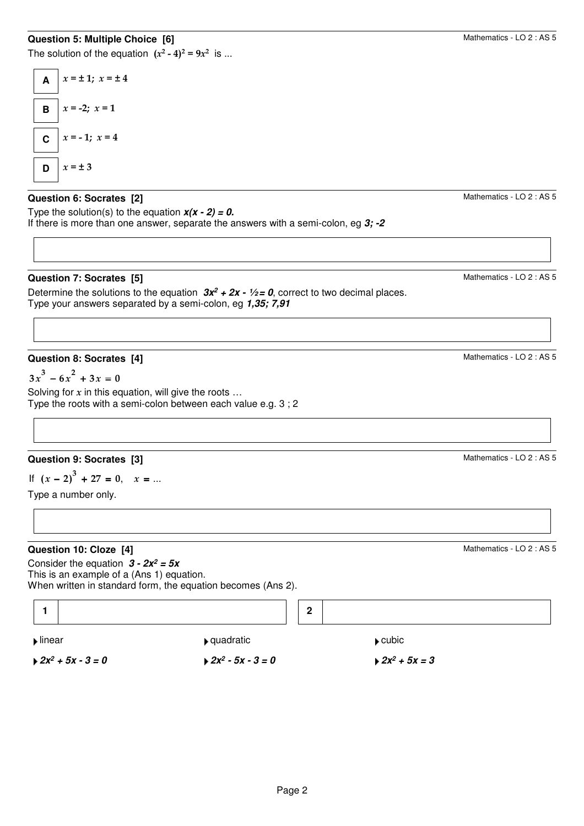### **Question 5: Multiple Choice [6]**

The solution of the equation  $(x^2 - 4)^2 = 9x^2$  is ...



#### **Question 6: Socrates [2]**

Type the solution(s) to the equation  $x(x - 2) = 0$ . If there is more than one answer, separate the answers with a semi-colon, eg **3; -2**

#### **Question 7: Socrates [5]**

Determine the solutions to the equation  $3x^2 + 2x - \frac{1}{2} = 0$ , correct to two decimal places. Type your answers separated by a semi-colon, eg **1,35; 7,91**

#### **Question 8: Socrates [4]**

 $3x^3 - 6x^2 + 3x = 0$ 

Solving for  $x$  in this equation, will give the roots ... Type the roots with a semi-colon between each value e.g. 3 ; 2

## **Question 9: Socrates [3]**

If  $(x - 2)^3 + 27 = 0$ ,  $x = ...$ 

Type a number only.

#### **Question 10: Cloze [4]**

Consider the equation **3 - 2x<sup>2</sup> = 5x** This is an example of a (Ans 1) equation. When written in standard form, the equation becomes (Ans 2).



Mathematics - LO 2 : AS 5

Mathematics - LO 2 : AS 5

Mathematics - LO 2 : AS 5

Mathematics - LO 2 : AS 5

Mathematics - LO 2 : AS 5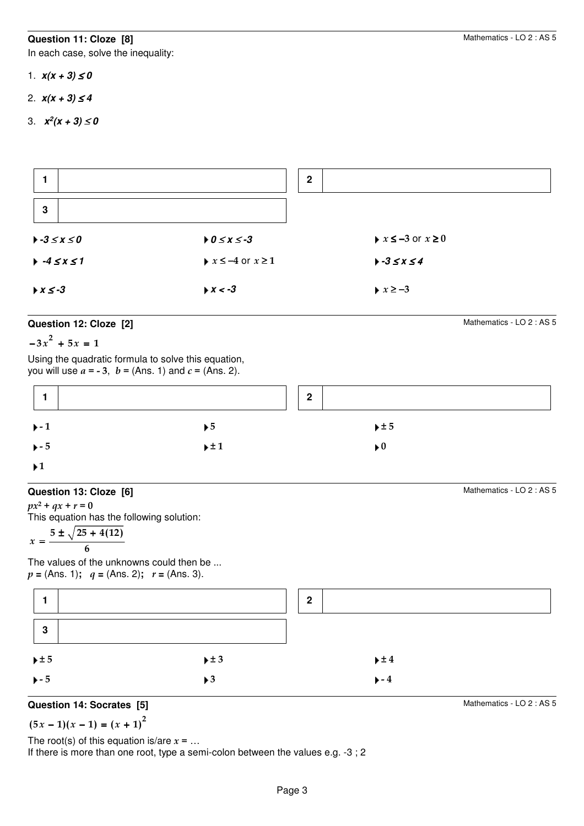#### **Question 11: Cloze [8]**

In each case, solve the inequality:

- 1.  $x(x + 3) \le 0$
- 2.  $x(x + 3) \le 4$
- 3. **x<sup>2</sup> (x + 3)** ≤ **0**

|                                |                                          | $\mathbf{2}$ |                                            |
|--------------------------------|------------------------------------------|--------------|--------------------------------------------|
| $\mathbf{3}$                   |                                          |              |                                            |
| $\rightarrow -3 \leq x \leq 0$ | $0 \leq x \leq -3$                       |              | $\rightarrow$ $x \le -3$ or $x \ge 0$      |
| $+ -4 \le x \le 1$             | $\triangleright$ $x \le -4$ or $x \ge 1$ |              | $\blacktriangleright$ -3 $\leq$ $x \leq 4$ |
| $\triangleright x \le -3$      | $\triangleright$ X < -3                  |              | $\blacktriangleright x \ge -3$             |

#### **Question 12: Cloze [2]**

 $-3x^{2} + 5x = 1$ 

Using the quadratic formula to solve this equation, you will use  $a = -3$ ,  $b = (Ans. 1)$  and  $c = (Ans. 2)$ .

|                           |                         | $\mathbf{2}$ |                         |  |
|---------------------------|-------------------------|--------------|-------------------------|--|
| $+ - 1$                   | $\blacktriangleright$ 5 |              | $\pm 5$                 |  |
| $\blacktriangleright$ - 5 | $\pm 1$                 |              | $\blacktriangleright$ 0 |  |
| $\blacktriangleright$ 1   |                         |              |                         |  |

#### **Question 13: Cloze [6]**

 $px^2 + qx + r = 0$ This equation has the following solution:

$$
x = \frac{5 \pm \sqrt{25 + 4(12)}}{6}
$$

The values of the unknowns could then be ...  $p = (Ans. 1); q = (Ans. 2); r = (Ans. 3).$ 



#### **Question 14: Socrates [5]**

$$
(5x-1)(x-1) = (x + 1)^2
$$

The root(s) of this equation is/are  $x = ...$ 

If there is more than one root, type a semi-colon between the values e.g. -3 ; 2

Mathematics - LO 2 : AS 5

Mathematics - LO 2 : AS 5

Mathematics - LO 2 : AS 5